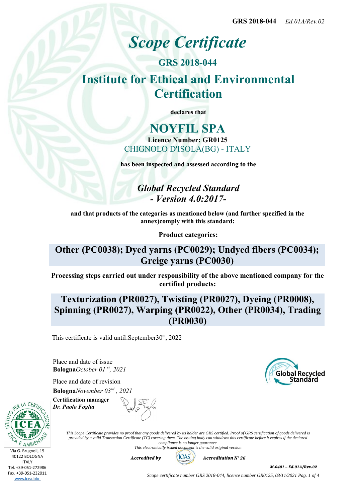# *Scope Certificate*

**GRS 2018-044 Institute for Ethical and Environmental Certification**

**declares that**

## **NOYFIL SPA Licence Number: GR0125** CHIGNOLO D'ISOLA(BG) - ITALY

**has been inspected and assessed according to the**

*Global Recycled Standard - Version 4.0:2017-*

**and that products of the categories as mentioned below (and further specified in the annex)comply with this standard:**

**Product categories:**

## **Other (PC0038); Dyed yarns (PC0029); Undyed fibers (PC0034); Greige yarns (PC0030)**

**Processing steps carried out under responsibility of the above mentioned company for the certified products:**

# **Texturization (PR0027), Twisting (PR0027), Dyeing (PR0008), Spinning (PR0027), Warping (PR0022), Other (PR0034), Trading (PR0030)**

This certificate is valid until: September  $30<sup>th</sup>$ , 2022

Place and date of issue **Bologna***October 01 st, 2021*

Place and date of revision **Bologna***November 03rd , 2021*



Via G. Brugnoli, 15 40122 BOLOGNA **ITALY** Tel. +39-051-272986 Fax. +39-051-232011 www.icea.bio

**Certification manager** *Dr. Paolo Foglia*

> *This Scope Certificate provides no proof that any goods delivered by its holder are GRS certified. Proof of GRS certification of goods delivered is provided by a valid Transaction Certificate (TC) covering them. The issuing body can withdraw this certificate before it expires if the declared compliance is no longer guarantee.*

*This electronically issued document is the valid original version*



*M.0401 – Ed.01A/Rev.02*

*Scope certificate number GRS 2018-044, licence number GR0125, 03/11/2021 Pag. 1 of 4*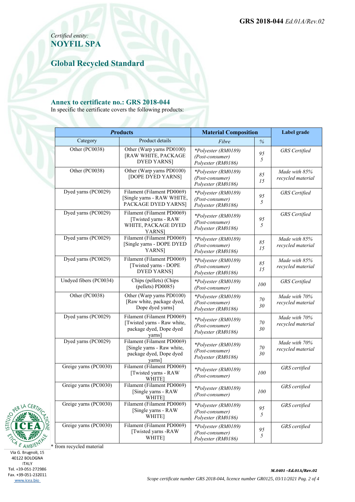*Certified entity:* **NOYFIL SPA**

**Global Recycled Standard**

#### **Annex to certificate no.: GRS 2018-044**

In specific the certificate covers the following products:

| <b>Products</b>        |                                                                                                | <b>Material Composition</b>                                  |          | Label grade                        |
|------------------------|------------------------------------------------------------------------------------------------|--------------------------------------------------------------|----------|------------------------------------|
| Category               | Product details                                                                                | Fibre                                                        | $\%$     |                                    |
| Other (PC0038)         | Other (Warp yarns PD0100)<br>[RAW WHITE, PACKAGE<br><b>DYED YARNS</b> ]                        | *Polyester (RM0189)<br>(Post-consumer)<br>Polyester (RM0186) | 95<br>5  | <b>GRS</b> Certified               |
| Other (PC0038)         | Other (Warp yarns PD0100)<br>[DOPE DYED YARNS]                                                 | *Polyester (RM0189)<br>(Post-consumer)<br>Polyester (RM0186) | 85<br>15 | Made with 85%<br>recycled material |
| Dyed yarns (PC0029)    | Filament (Filament PD0069)<br>[Single yarns - RAW WHITE,<br>PACKAGE DYED YARNS]                | *Polyester (RM0189)<br>(Post-consumer)<br>Polyester (RM0186) | 95<br>5  | <b>GRS</b> Certified               |
| Dyed yarns (PC0029)    | Filament (Filament PD0069)<br>[Twisted yarns - RAW<br>WHITE, PACKAGE DYED<br>YARNS]            | *Polyester (RM0189)<br>(Post-consumer)<br>Polyester (RM0186) | 95<br>5  | <b>GRS</b> Certified               |
| Dyed yarns (PC0029)    | Filament (Filament PD0069)<br>[Single yarns - DOPE DYED<br>YARNS]                              | *Polyester (RM0189)<br>(Post-consumer)<br>Polyester (RM0186) | 85<br>15 | Made with 85%<br>recycled material |
| Dyed yarns (PC0029)    | Filament (Filament PD0069)<br>[Twisted yarns - DOPE<br><b>DYED YARNS</b>                       | *Polyester (RM0189)<br>(Post-consumer)<br>Polyester (RM0186) | 85<br>15 | Made with 85%<br>recycled material |
| Undyed fibers (PC0034) | Chips (pellets) (Chips<br>(pellets) PD0085)                                                    | *Polyester (RM0189)<br>(Post-consumer)                       | 100      | <b>GRS</b> Certified               |
| Other (PC0038)         | Other (Warp yarns PD0100)<br>[Raw white, package dyed,<br>Dope dyed yarns]                     | *Polyester (RM0189)<br>(Post-consumer)<br>Polyester (RM0186) | 70<br>30 | Made with 70%<br>recycled material |
| Dyed yarns (PC0029)    | Filament (Filament PD0069)<br>[Twisted yarns - Raw white,<br>package dyed, Dope dyed<br>yarns] | *Polyester (RM0189)<br>(Post-consumer)<br>Polyester (RM0186) | 70<br>30 | Made with 70%<br>recycled material |
| Dyed yarns (PC0029)    | Filament (Filament PD0069)<br>[Single yarns - Raw white,<br>package dyed, Dope dyed<br>yarns]  | *Polyester (RM0189)<br>(Post-consumer)<br>Polyester (RM0186) | 70<br>30 | Made with 70%<br>recycled material |
| Greige yarns (PC0030)  | Filament (Filament PD0069)<br>[Twisted yarns - RAW<br><b>WHITE</b>                             | *Polyester (RM0189)<br>(Post-consumer)                       | 100      | GRS certified                      |
| Greige yarns (PC0030)  | Filament (Filament PD0069)<br>[Single yarns - RAW<br>WHITE]                                    | *Polyester (RM0189)<br>(Post-consumer)                       | 100      | GRS certified                      |
| Greige yarns (PC0030)  | Filament (Filament PD0069)<br>[Single yarns - RAW<br>WHITE]                                    | *Polvester (RM0189)<br>(Post-consumer)<br>Polyester (RM0186) | 95<br>5  | GRS certified                      |
| Greige yarns (PC0030)  | Filament (Filament PD0069)<br>[Twisted yarns -RAW<br>WHITE]                                    | *Polyester (RM0189)<br>(Post-consumer)<br>Polyester (RM0186) | 95<br>5  | GRS certified                      |



AMBIENT  $C_{\hspace{-1pt}\rule{0pt}{1.5pt}\hspace{1pt}}$  $\mathcal{E}_{\mathcal{A}}$ Via G. Brugnoli, 15<br>40122 BOLOGNA **ITALY** Tel. +39-051-272986 Fax. +39-051-232011 www.icea.bio

PER LA  $\bigcap$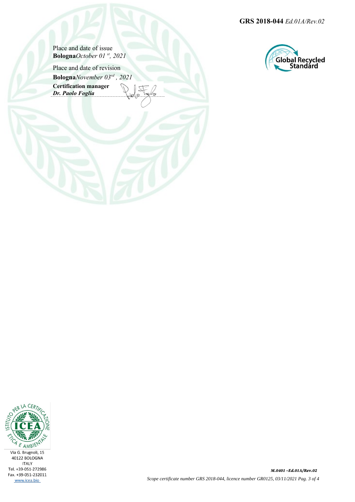**GRS 2018-044** *Ed.01A/Rev.02*

Place and date of issue **Bologna***October 01 st, 2021*

Place and date of revision **Bologna***November 03rd , 2021* **Certification manager** *Dr. Paolo Foglia*